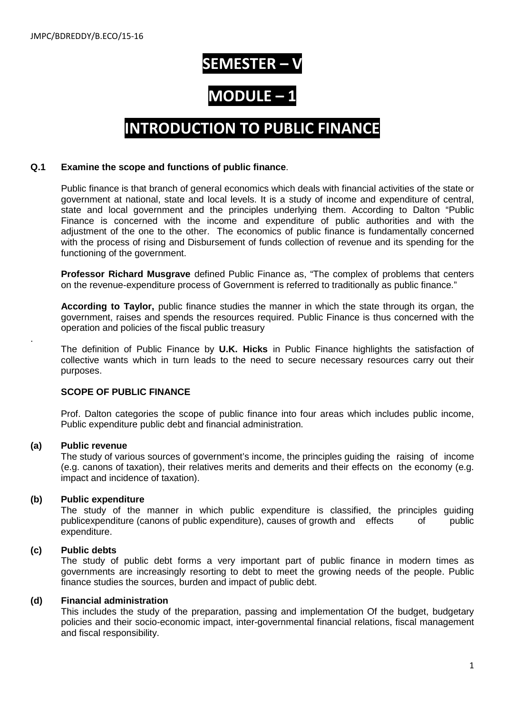# **SEMESTER –**

# **MODULE –**

# **INTRODUCTION TO PUBLIC FINANCE**

#### **Q.1 Examine the scope and functions of public finance**.

Public finance is that branch of general economics which deals with financial activities of the state or government at national, state and local levels. It is a study of income and expenditure of central, state and local government and the principles underlying them. According to Dalton "Public Finance is concerned with the income and expenditure of public authorities and with the adjustment of the one to the other. The economics of public finance is fundamentally concerned with the process of rising and Disbursement of funds collection of revenue and its spending for the functioning of the government.

**Professor Richard Musgrave** defined Public Finance as, "The complex of problems that centers on the revenue-expenditure process of Government is referred to traditionally as public finance."

**According to Taylor,** public finance studies the manner in which the state through its organ, the government, raises and spends the resources required. Public Finance is thus concerned with the operation and policies of the fiscal public treasury

The definition of Public Finance by **U.K. Hicks** in Public Finance highlights the satisfaction of collective wants which in turn leads to the need to secure necessary resources carry out their purposes.

## **SCOPE OF PUBLIC FINANCE**

Prof. Dalton categories the scope of public finance into four areas which includes public income, Public expenditure public debt and financial administration.

#### **(a) Public revenue**

.

The study of various sources of government's income, the principles guiding the raising of income (e.g. canons of taxation), their relatives merits and demerits and their effects on the economy (e.g. impact and incidence of taxation).

#### **(b) Public expenditure**

The study of the manner in which public expenditure is classified, the principles guiding publicexpenditure (canons of public expenditure), causes of growth and effects of public expenditure.

## **(c) Public debts**

The study of public debt forms a very important part of public finance in modern times as governments are increasingly resorting to debt to meet the growing needs of the people. Public finance studies the sources, burden and impact of public debt.

#### **(d) Financial administration**

This includes the study of the preparation, passing and implementation Of the budget, budgetary policies and their socio-economic impact, inter-governmental financial relations, fiscal management and fiscal responsibility.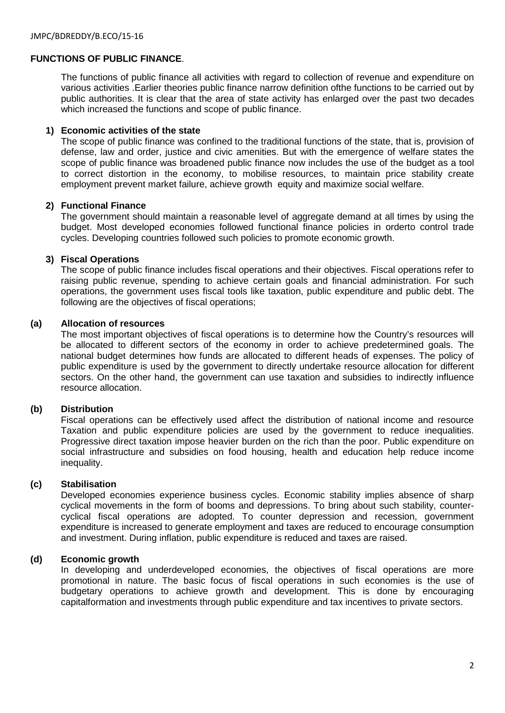# **FUNCTIONS OF PUBLIC FINANCE**.

The functions of public finance all activities with regard to collection of revenue and expenditure on various activities .Earlier theories public finance narrow definition ofthe functions to be carried out by public authorities. It is clear that the area of state activity has enlarged over the past two decades which increased the functions and scope of public finance.

#### **1) Economic activities of the state**

The scope of public finance was confined to the traditional functions of the state, that is, provision of defense, law and order, justice and civic amenities. But with the emergence of welfare states the scope of public finance was broadened public finance now includes the use of the budget as a tool to correct distortion in the economy, to mobilise resources, to maintain price stability create employment prevent market failure, achieve growth equity and maximize social welfare.

#### **2) Functional Finance**

The government should maintain a reasonable level of aggregate demand at all times by using the budget. Most developed economies followed functional finance policies in orderto control trade cycles. Developing countries followed such policies to promote economic growth.

## **3) Fiscal Operations**

The scope of public finance includes fiscal operations and their objectives. Fiscal operations refer to raising public revenue, spending to achieve certain goals and financial administration. For such operations, the government uses fiscal tools like taxation, public expenditure and public debt. The following are the objectives of fiscal operations;

#### **(a) Allocation of resources**

The most important objectives of fiscal operations is to determine how the Country's resources will be allocated to different sectors of the economy in order to achieve predetermined goals. The national budget determines how funds are allocated to different heads of expenses. The policy of public expenditure is used by the government to directly undertake resource allocation for different sectors. On the other hand, the government can use taxation and subsidies to indirectly influence resource allocation.

## **(b) Distribution**

Fiscal operations can be effectively used affect the distribution of national income and resource Taxation and public expenditure policies are used by the government to reduce inequalities. Progressive direct taxation impose heavier burden on the rich than the poor. Public expenditure on social infrastructure and subsidies on food housing, health and education help reduce income inequality.

#### **(c) Stabilisation**

Developed economies experience business cycles. Economic stability implies absence of sharp cyclical movements in the form of booms and depressions. To bring about such stability, countercyclical fiscal operations are adopted. To counter depression and recession, government expenditure is increased to generate employment and taxes are reduced to encourage consumption and investment. During inflation, public expenditure is reduced and taxes are raised.

#### **(d) Economic growth**

In developing and underdeveloped economies, the objectives of fiscal operations are more promotional in nature. The basic focus of fiscal operations in such economies is the use of budgetary operations to achieve growth and development. This is done by encouraging capitalformation and investments through public expenditure and tax incentives to private sectors.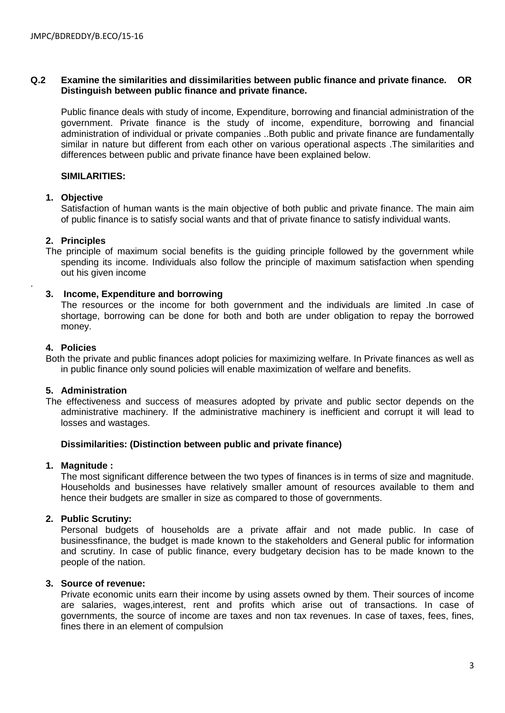## **Q.2 Examine the similarities and dissimilarities between public finance and private finance. OR Distinguish between public finance and private finance.**

Public finance deals with study of income, Expenditure, borrowing and financial administration of the government. Private finance is the study of income, expenditure, borrowing and financial administration of individual or private companies ..Both public and private finance are fundamentally similar in nature but different from each other on various operational aspects .The similarities and differences between public and private finance have been explained below.

## **SIMILARITIES:**

#### **1. Objective**

Satisfaction of human wants is the main objective of both public and private finance. The main aim of public finance is to satisfy social wants and that of private finance to satisfy individual wants.

## **2. Principles**

The principle of maximum social benefits is the guiding principle followed by the government while spending its income. Individuals also follow the principle of maximum satisfaction when spending out his given income

## **3. Income, Expenditure and borrowing**

The resources or the income for both government and the individuals are limited .In case of shortage, borrowing can be done for both and both are under obligation to repay the borrowed money.

## **4. Policies**

.

Both the private and public finances adopt policies for maximizing welfare. In Private finances as well as in public finance only sound policies will enable maximization of welfare and benefits.

#### **5. Administration**

The effectiveness and success of measures adopted by private and public sector depends on the administrative machinery. If the administrative machinery is inefficient and corrupt it will lead to losses and wastages.

#### **Dissimilarities: (Distinction between public and private finance)**

# **1. Magnitude :**

The most significant difference between the two types of finances is in terms of size and magnitude. Households and businesses have relatively smaller amount of resources available to them and hence their budgets are smaller in size as compared to those of governments.

## **2. Public Scrutiny:**

Personal budgets of households are a private affair and not made public. In case of businessfinance, the budget is made known to the stakeholders and General public for information and scrutiny. In case of public finance, every budgetary decision has to be made known to the people of the nation.

#### **3. Source of revenue:**

Private economic units earn their income by using assets owned by them. Their sources of income are salaries, wages,interest, rent and profits which arise out of transactions. In case of governments, the source of income are taxes and non tax revenues. In case of taxes, fees, fines, fines there in an element of compulsion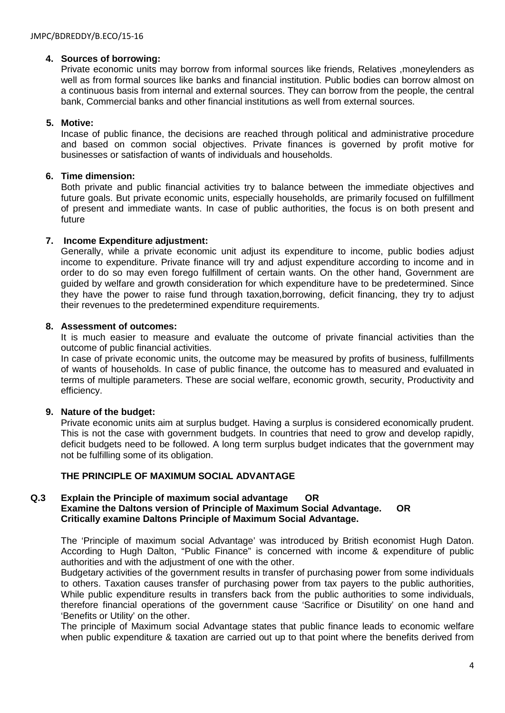# **4. Sources of borrowing:**

Private economic units may borrow from informal sources like friends, Relatives ,moneylenders as well as from formal sources like banks and financial institution. Public bodies can borrow almost on a continuous basis from internal and external sources. They can borrow from the people, the central bank, Commercial banks and other financial institutions as well from external sources.

# **5. Motive:**

Incase of public finance, the decisions are reached through political and administrative procedure and based on common social objectives. Private finances is governed by profit motive for businesses or satisfaction of wants of individuals and households.

# **6. Time dimension:**

Both private and public financial activities try to balance between the immediate objectives and future goals. But private economic units, especially households, are primarily focused on fulfillment of present and immediate wants. In case of public authorities, the focus is on both present and future

# **7. Income Expenditure adjustment:**

Generally, while a private economic unit adjust its expenditure to income, public bodies adjust income to expenditure. Private finance will try and adjust expenditure according to income and in order to do so may even forego fulfillment of certain wants. On the other hand, Government are guided by welfare and growth consideration for which expenditure have to be predetermined. Since they have the power to raise fund through taxation,borrowing, deficit financing, they try to adjust their revenues to the predetermined expenditure requirements.

# **8. Assessment of outcomes:**

It is much easier to measure and evaluate the outcome of private financial activities than the outcome of public financial activities.

In case of private economic units, the outcome may be measured by profits of business, fulfillments of wants of households. In case of public finance, the outcome has to measured and evaluated in terms of multiple parameters. These are social welfare, economic growth, security, Productivity and efficiency.

## **9. Nature of the budget:**

Private economic units aim at surplus budget. Having a surplus is considered economically prudent. This is not the case with government budgets. In countries that need to grow and develop rapidly, deficit budgets need to be followed. A long term surplus budget indicates that the government may not be fulfilling some of its obligation.

# **THE PRINCIPLE OF MAXIMUM SOCIAL ADVANTAGE**

## **Q.3 Explain the Principle of maximum social advantage OR Examine the Daltons version of Principle of Maximum Social Advantage. OR Critically examine Daltons Principle of Maximum Social Advantage.**

The 'Principle of maximum social Advantage' was introduced by British economist Hugh Daton. According to Hugh Dalton, "Public Finance" is concerned with income & expenditure of public authorities and with the adjustment of one with the other.

Budgetary activities of the government results in transfer of purchasing power from some individuals to others. Taxation causes transfer of purchasing power from tax payers to the public authorities, While public expenditure results in transfers back from the public authorities to some individuals, therefore financial operations of the government cause 'Sacrifice or Disutility' on one hand and 'Benefits or Utility' on the other.

The principle of Maximum social Advantage states that public finance leads to economic welfare when public expenditure & taxation are carried out up to that point where the benefits derived from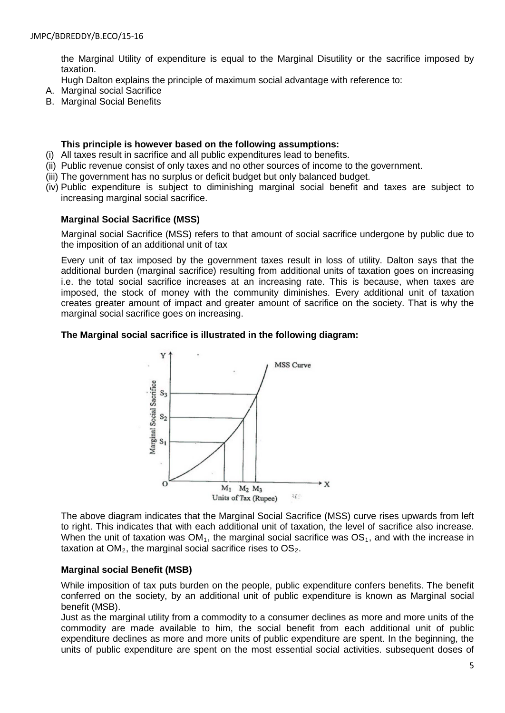the Marginal Utility of expenditure is equal to the Marginal Disutility or the sacrifice imposed by taxation.

Hugh Dalton explains the principle of maximum social advantage with reference to:

- A. Marginal social Sacrifice
- B. Marginal Social Benefits

#### **This principle is however based on the following assumptions:**

- (i) All taxes result in sacrifice and all public expenditures lead to benefits.
- (ii) Public revenue consist of only taxes and no other sources of income to the government.
- (iii) The government has no surplus or deficit budget but only balanced budget.
- (iv) Public expenditure is subject to diminishing marginal social benefit and taxes are subject to increasing marginal social sacrifice.

#### **Marginal Social Sacrifice (MSS)**

Marginal social Sacrifice (MSS) refers to that amount of social sacrifice undergone by public due to the imposition of an additional unit of tax

Every unit of tax imposed by the government taxes result in loss of utility. Dalton says that the additional burden (marginal sacrifice) resulting from additional units of taxation goes on increasing i.e. the total social sacrifice increases at an increasing rate. This is because, when taxes are imposed, the stock of money with the community diminishes. Every additional unit of taxation creates greater amount of impact and greater amount of sacrifice on the society. That is why the marginal social sacrifice goes on increasing.

## **The Marginal social sacrifice is illustrated in the following diagram:**



The above diagram indicates that the Marginal Social Sacrifice (MSS) curve rises upwards from left to right. This indicates that with each additional unit of taxation, the level of sacrifice also increase. When the unit of taxation was  $OM_1$ , the marginal social sacrifice was  $OS_1$ , and with the increase in taxation at  $OM<sub>2</sub>$ , the marginal social sacrifice rises to  $OS<sub>2</sub>$ .

## **Marginal social Benefit (MSB)**

While imposition of tax puts burden on the people, public expenditure confers benefits. The benefit conferred on the society, by an additional unit of public expenditure is known as Marginal social benefit (MSB).

Just as the marginal utility from a commodity to a consumer declines as more and more units of the commodity are made available to him, the social benefit from each additional unit of public expenditure declines as more and more units of public expenditure are spent. In the beginning, the units of public expenditure are spent on the most essential social activities. subsequent doses of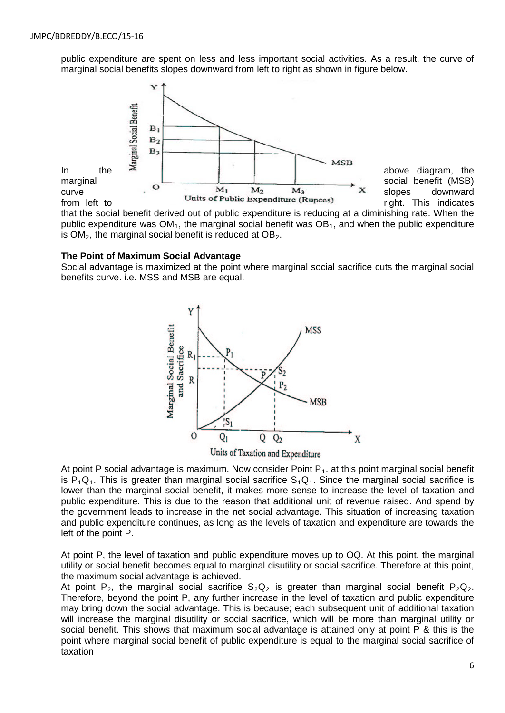public expenditure are spent on less and less important social activities. As a result, the curve of marginal social benefits slopes downward from left to right as shown in figure below.



that the social benefit derived out of public expenditure is reducing at a diminishing rate. When the public expenditure was  $OM<sub>1</sub>$ , the marginal social benefit was  $OB<sub>1</sub>$ , and when the public expenditure is  $OM<sub>2</sub>$ , the marginal social benefit is reduced at  $OB<sub>2</sub>$ .

#### **The Point of Maximum Social Advantage**

Social advantage is maximized at the point where marginal social sacrifice cuts the marginal social benefits curve. i.e. MSS and MSB are equal.



Units of Taxation and Expenditure

At point P social advantage is maximum. Now consider Point  $P_1$ , at this point marginal social benefit is  $P_1Q_1$ . This is greater than marginal social sacrifice  $S_1Q_1$ . Since the marginal social sacrifice is lower than the marginal social benefit, it makes more sense to increase the level of taxation and public expenditure. This is due to the reason that additional unit of revenue raised. And spend by the government leads to increase in the net social advantage. This situation of increasing taxation and public expenditure continues, as long as the levels of taxation and expenditure are towards the left of the point P.

At point P, the level of taxation and public expenditure moves up to OQ. At this point, the marginal utility or social benefit becomes equal to marginal disutility or social sacrifice. Therefore at this point, the maximum social advantage is achieved.

At point P<sub>2</sub>, the marginal social sacrifice  $S_2Q_2$  is greater than marginal social benefit P<sub>2</sub>Q<sub>2</sub>. Therefore, beyond the point P, any further increase in the level of taxation and public expenditure may bring down the social advantage. This is because; each subsequent unit of additional taxation will increase the marginal disutility or social sacrifice, which will be more than marginal utility or social benefit. This shows that maximum social advantage is attained only at point P & this is the point where marginal social benefit of public expenditure is equal to the marginal social sacrifice of taxation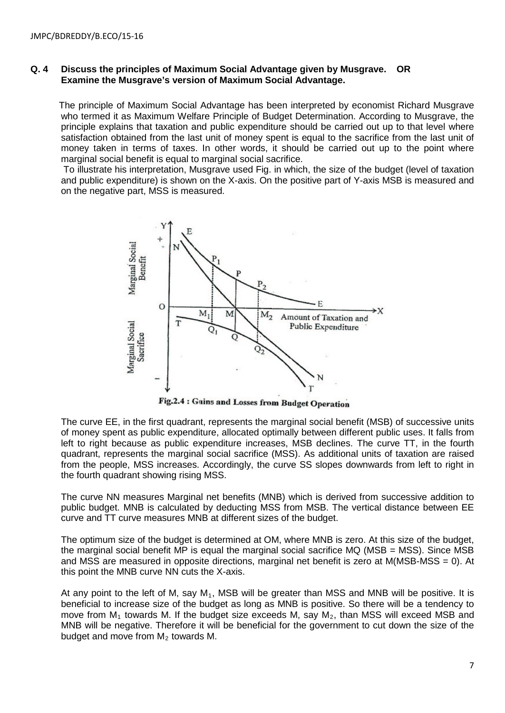#### **Q. 4 Discuss the principles of Maximum Social Advantage given by Musgrave. OR Examine the Musgrave's version of Maximum Social Advantage.**

 The principle of Maximum Social Advantage has been interpreted by economist Richard Musgrave who termed it as Maximum Welfare Principle of Budget Determination. According to Musgrave, the principle explains that taxation and public expenditure should be carried out up to that level where satisfaction obtained from the last unit of money spent is equal to the sacrifice from the last unit of money taken in terms of taxes. In other words, it should be carried out up to the point where marginal social benefit is equal to marginal social sacrifice.

To illustrate his interpretation, Musgrave used Fig. in which, the size of the budget (level of taxation and public expenditure) is shown on the X-axis. On the positive part of Y-axis MSB is measured and on the negative part, MSS is measured.



Fig.2.4 : Gains and Losses from Budget Operation

The curve EE, in the first quadrant, represents the marginal social benefit (MSB) of successive units of money spent as public expenditure, allocated optimally between different public uses. It falls from left to right because as public expenditure increases, MSB declines. The curve TT, in the fourth quadrant, represents the marginal social sacrifice (MSS). As additional units of taxation are raised from the people, MSS increases. Accordingly, the curve SS slopes downwards from left to right in the fourth quadrant showing rising MSS.

The curve NN measures Marginal net benefits (MNB) which is derived from successive addition to public budget. MNB is calculated by deducting MSS from MSB. The vertical distance between EE curve and TT curve measures MNB at different sizes of the budget.

The optimum size of the budget is determined at OM, where MNB is zero. At this size of the budget, the marginal social benefit MP is equal the marginal social sacrifice MQ (MSB = MSS). Since MSB and MSS are measured in opposite directions, marginal net benefit is zero at M(MSB-MSS = 0). At this point the MNB curve NN cuts the X-axis.

At any point to the left of M, say  $M_1$ , MSB will be greater than MSS and MNB will be positive. It is beneficial to increase size of the budget as long as MNB is positive. So there will be a tendency to move from  $M_1$  towards M. If the budget size exceeds M, say  $M_2$ , than MSS will exceed MSB and MNB will be negative. Therefore it will be beneficial for the government to cut down the size of the budget and move from  $M<sub>2</sub>$  towards M.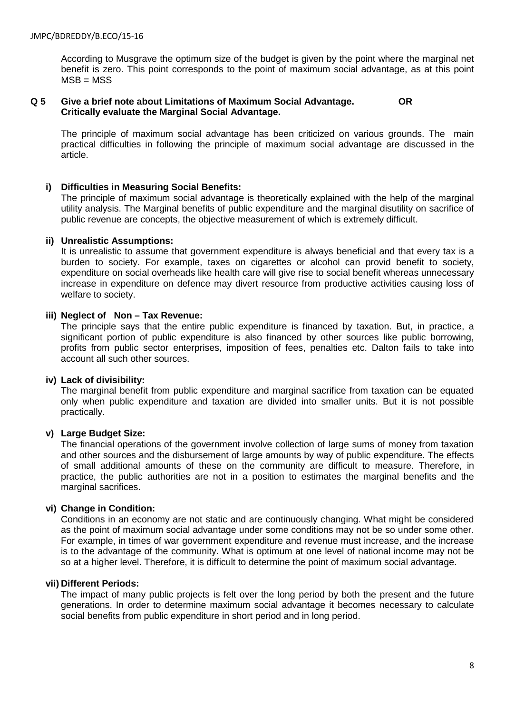According to Musgrave the optimum size of the budget is given by the point where the marginal net benefit is zero. This point corresponds to the point of maximum social advantage, as at this point  $MSB = MSS$ 

#### **Q 5 Give a brief note about Limitations of Maximum Social Advantage. OR Critically evaluate the Marginal Social Advantage.**

The principle of maximum social advantage has been criticized on various grounds. The main practical difficulties in following the principle of maximum social advantage are discussed in the article.

## **i) Difficulties in Measuring Social Benefits:**

The principle of maximum social advantage is theoretically explained with the help of the marginal utility analysis. The Marginal benefits of public expenditure and the marginal disutility on sacrifice of public revenue are concepts, the objective measurement of which is extremely difficult.

## **ii) Unrealistic Assumptions:**

It is unrealistic to assume that government expenditure is always beneficial and that every tax is a burden to society. For example, taxes on cigarettes or alcohol can provid benefit to society, expenditure on social overheads like health care will give rise to social benefit whereas unnecessary increase in expenditure on defence may divert resource from productive activities causing loss of welfare to society.

# **iii) Neglect of Non – Tax Revenue:**

The principle says that the entire public expenditure is financed by taxation. But, in practice, a significant portion of public expenditure is also financed by other sources like public borrowing, profits from public sector enterprises, imposition of fees, penalties etc. Dalton fails to take into account all such other sources.

## **iv) Lack of divisibility:**

The marginal benefit from public expenditure and marginal sacrifice from taxation can be equated only when public expenditure and taxation are divided into smaller units. But it is not possible practically.

## **v) Large Budget Size:**

The financial operations of the government involve collection of large sums of money from taxation and other sources and the disbursement of large amounts by way of public expenditure. The effects of small additional amounts of these on the community are difficult to measure. Therefore, in practice, the public authorities are not in a position to estimates the marginal benefits and the marginal sacrifices.

#### **vi) Change in Condition:**

Conditions in an economy are not static and are continuously changing. What might be considered as the point of maximum social advantage under some conditions may not be so under some other. For example, in times of war government expenditure and revenue must increase, and the increase is to the advantage of the community. What is optimum at one level of national income may not be so at a higher level. Therefore, it is difficult to determine the point of maximum social advantage.

#### **vii) Different Periods:**

The impact of many public projects is felt over the long period by both the present and the future generations. In order to determine maximum social advantage it becomes necessary to calculate social benefits from public expenditure in short period and in long period.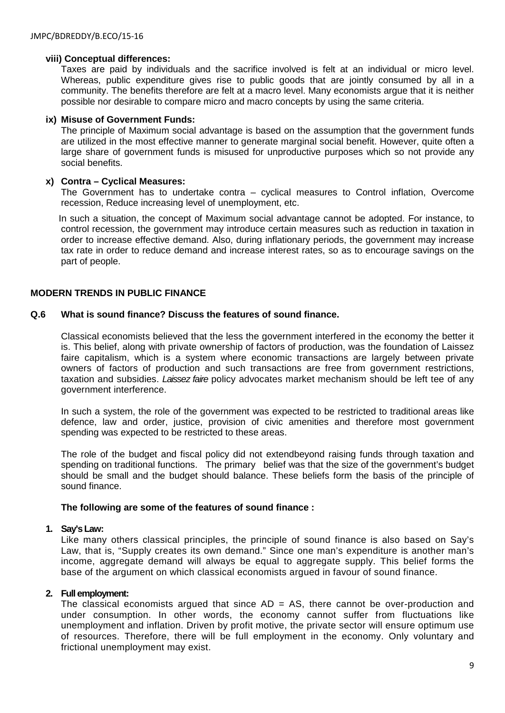## **viii) Conceptual differences:**

Taxes are paid by individuals and the sacrifice involved is felt at an individual or micro level. Whereas, public expenditure gives rise to public goods that are jointly consumed by all in a community. The benefits therefore are felt at a macro level. Many economists argue that it is neither possible nor desirable to compare micro and macro concepts by using the same criteria.

#### **ix) Misuse of Government Funds:**

The principle of Maximum social advantage is based on the assumption that the government funds are utilized in the most effective manner to generate marginal social benefit. However, quite often a large share of government funds is misused for unproductive purposes which so not provide any social benefits.

#### **x) Contra – Cyclical Measures:**

The Government has to undertake contra – cyclical measures to Control inflation, Overcome recession, Reduce increasing level of unemployment, etc.

 In such a situation, the concept of Maximum social advantage cannot be adopted. For instance, to control recession, the government may introduce certain measures such as reduction in taxation in order to increase effective demand. Also, during inflationary periods, the government may increase tax rate in order to reduce demand and increase interest rates, so as to encourage savings on the part of people.

# **MODERN TRENDS IN PUBLIC FINANCE**

## **Q.6 What is sound finance? Discuss the features of sound finance.**

Classical economists believed that the less the government interfered in the economy the better it is. This belief, along with private ownership of factors of production, was the foundation of Laissez faire capitalism, which is a system where economic transactions are largely between private owners of factors of production and such transactions are free from government restrictions, taxation and subsidies. *Laissez faire* policy advocates market mechanism should be left tee of any government interference.

In such a system, the role of the government was expected to be restricted to traditional areas like defence, law and order, justice, provision of civic amenities and therefore most government spending was expected to be restricted to these areas.

The role of the budget and fiscal policy did not extendbeyond raising funds through taxation and spending on traditional functions. The primary belief was that the size of the government's budget should be small and the budget should balance. These beliefs form the basis of the principle of sound finance.

#### **The following are some of the features of sound finance :**

#### **1. Say's Law:**

Like many others classical principles, the principle of sound finance is also based on Say's Law, that is, "Supply creates its own demand." Since one man's expenditure is another man's income, aggregate demand will always be equal to aggregate supply. This belief forms the base of the argument on which classical economists argued in favour of sound finance.

## **2. Full employment:**

The classical economists argued that since  $AD = AS$ , there cannot be over-production and under consumption. In other words, the economy cannot suffer from fluctuations like unemployment and inflation. Driven by profit motive, the private sector will ensure optimum use of resources. Therefore, there will be full employment in the economy. Only voluntary and frictional unemployment may exist.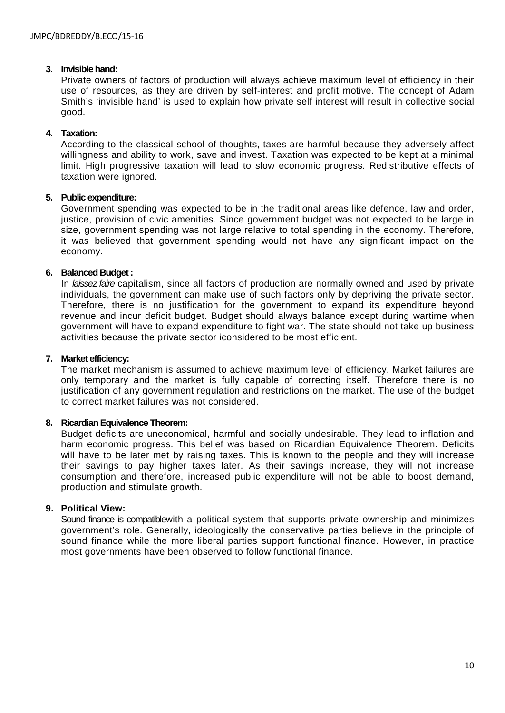#### **3. Invisible hand:**

Private owners of factors of production will always achieve maximum level of efficiency in their use of resources, as they are driven by self-interest and profit motive. The concept of Adam Smith's 'invisible hand' is used to explain how private self interest will result in collective social good.

# **4. Taxation:**

According to the classical school of thoughts, taxes are harmful because they adversely affect willingness and ability to work, save and invest. Taxation was expected to be kept at a minimal limit. High progressive taxation will lead to slow economic progress. Redistributive effects of taxation were ignored.

#### **5. Public expenditure:**

Government spending was expected to be in the traditional areas like defence, law and order, justice, provision of civic amenities. Since government budget was not expected to be large in size, government spending was not large relative to total spending in the economy. Therefore, it was believed that government spending would not have any significant impact on the economy.

# **6. Balanced Budget :**

In *laissez faire* capitalism, since all factors of production are normally owned and used by private individuals, the government can make use of such factors only by depriving the private sector. Therefore, there is no justification for the government to expand its expenditure beyond revenue and incur deficit budget. Budget should always balance except during wartime when government will have to expand expenditure to fight war. The state should not take up business activities because the private sector iconsidered to be most efficient.

#### **7. Market efficiency:**

The market mechanism is assumed to achieve maximum level of efficiency. Market failures are only temporary and the market is fully capable of correcting itself. Therefore there is no justification of any government regulation and restrictions on the market. The use of the budget to correct market failures was not considered.

#### **8. Ricardian Equivalence Theorem:**

Budget deficits are uneconomical, harmful and socially undesirable. They lead to inflation and harm economic progress. This belief was based on Ricardian Equivalence Theorem. Deficits will have to be later met by raising taxes. This is known to the people and they will increase their savings to pay higher taxes later. As their savings increase, they will not increase consumption and therefore, increased public expenditure will not be able to boost demand, production and stimulate growth.

# **9. Political View:**

Sound finance is compatiblewith a political system that supports private ownership and minimizes government's role. Generally, ideologically the conservative parties believe in the principle of sound finance while the more liberal parties support functional finance. However, in practice most governments have been observed to follow functional finance.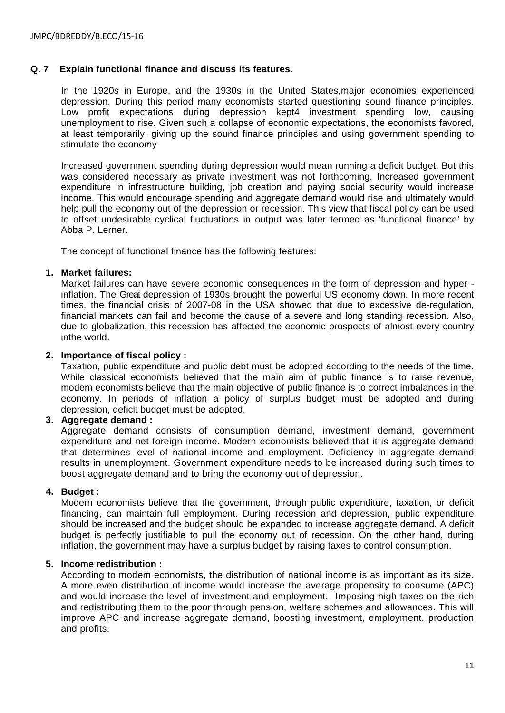## **Q. 7 Explain functional finance and discuss its features.**

In the 1920s in Europe, and the 1930s in the United States,major economies experienced depression. During this period many economists started questioning sound finance principles. Low profit expectations during depression kept4 investment spending low, causing unemployment to rise. Given such a collapse of economic expectations, the economists favored, at least temporarily, giving up the sound finance principles and using government spending to stimulate the economy

Increased government spending during depression would mean running a deficit budget. But this was considered necessary as private investment was not forthcoming. Increased government expenditure in infrastructure building, job creation and paying social security would increase income. This would encourage spending and aggregate demand would rise and ultimately would help pull the economy out of the depression or recession. This view that fiscal policy can be used to offset undesirable cyclical fluctuations in output was later termed as 'functional finance' by Abba P. Lerner.

The concept of functional finance has the following features:

# **1. Market failures:**

Market failures can have severe economic consequences in the form of depression and hyper inflation. The Great depression of 1930s brought the powerful US economy down. In more recent times, the financial crisis of 2007-08 in the USA showed that due to excessive de-regulation, financial markets can fail and become the cause of a severe and long standing recession. Also, due to globalization, this recession has affected the economic prospects of almost every country inthe world.

#### **2. Importance of fiscal policy :**

Taxation, public expenditure and public debt must be adopted according to the needs of the time. While classical economists believed that the main aim of public finance is to raise revenue, modem economists believe that the main objective of public finance is to correct imbalances in the economy. In periods of inflation a policy of surplus budget must be adopted and during depression, deficit budget must be adopted.

## **3. Aggregate demand :**

Aggregate demand consists of consumption demand, investment demand, government expenditure and net foreign income. Modern economists believed that it is aggregate demand that determines level of national income and employment. Deficiency in aggregate demand results in unemployment. Government expenditure needs to be increased during such times to boost aggregate demand and to bring the economy out of depression.

## **4. Budget :**

Modern economists believe that the government, through public expenditure, taxation, or deficit financing, can maintain full employment. During recession and depression, public expenditure should be increased and the budget should be expanded to increase aggregate demand. A deficit budget is perfectly justifiable to pull the economy out of recession. On the other hand, during inflation, the government may have a surplus budget by raising taxes to control consumption.

## **5. Income redistribution :**

According to modem economists, the distribution of national income is as important as its size. A more even distribution of income would increase the average propensity to consume (APC) and would increase the level of investment and employment. Imposing high taxes on the rich and redistributing them to the poor through pension, welfare schemes and allowances. This will improve APC and increase aggregate demand, boosting investment, employment, production and profits.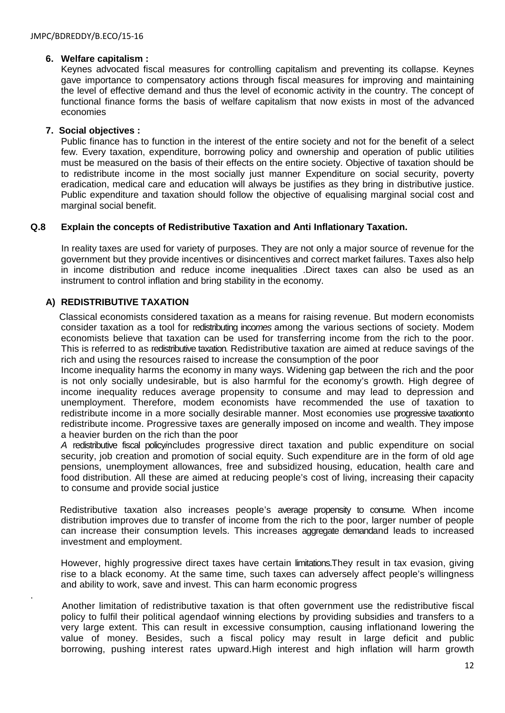# **6. Welfare capitalism :**

Keynes advocated fiscal measures for controlling capitalism and preventing its collapse. Keynes gave importance to compensatory actions through fiscal measures for improving and maintaining the level of effective demand and thus the level of economic activity in the country. The concept of functional finance forms the basis of welfare capitalism that now exists in most of the advanced economies

# **7. Social objectives :**

Public finance has to function in the interest of the entire society and not for the benefit of a select few. Every taxation, expenditure, borrowing policy and ownership and operation of public utilities must be measured on the basis of their effects on the entire society. Objective of taxation should be to redistribute income in the most socially just manner Expenditure on social security, poverty eradication, medical care and education will always be justifies as they bring in distributive justice. Public expenditure and taxation should follow the objective of equalising marginal social cost and marginal social benefit.

# **Q.8 Explain the concepts of Redistributive Taxation and Anti Inflationary Taxation.**

 In reality taxes are used for variety of purposes. They are not only a major source of revenue for the government but they provide incentives or disincentives and correct market failures. Taxes also help in income distribution and reduce income inequalities .Direct taxes can also be used as an instrument to control inflation and bring stability in the economy.

# **A) REDISTRIBUTIVE TAXATION**

.

 Classical economists considered taxation as a means for raising revenue. But modern economists consider taxation as a tool for redistributing inco*mes* among the various sections of society. Modem economists believe that taxation can be used for transferring income from the rich to the poor. This is referred to as redistributive taxation*.* Redistributive taxation are aimed at reduce savings of the rich and using the resources raised to increase the consumption of the poor

Income inequality harms the economy in many ways. Widening gap between the rich and the poor is not only socially undesirable, but is also harmful for the economy's growth. High degree of income inequality reduces average propensity to consume and may lead to depression and unemployment. Therefore, modem economists have recommended the use of taxation to redistribute income in a more socially desirable manner. Most economies use progressive taxationto redistribute income. Progressive taxes are generally imposed on income and wealth. They impose a heavier burden on the rich than the poor

*A* redistributive fiscal policy*i*ncludes progressive direct taxation and public expenditure on social security, job creation and promotion of social equity. Such expenditure are in the form of old age pensions, unemployment allowances, free and subsidized housing, education, health care and food distribution. All these are aimed at reducing people's cost of living, increasing their capacity to consume and provide social justice

 Redistributive taxation also increases people's average propensity to consume*.* When income distribution improves due to transfer of income from the rich to the poor, larger number of people can increase their consumption levels. This increases aggregate demandand leads to increased investment and employment.

However, highly progressive direct taxes have certain limitations.They result in tax evasion, giving rise to a black economy. At the same time, such taxes can adversely affect people's willingness and ability to work, save and invest. This can harm economic progress

 Another limitation of redistributive taxation is that often government use the redistributive fiscal policy to fulfil their political agendaof winning elections by providing subsidies and transfers to a very large extent. This can result in excessive consumption, causing inflationand lowering the value of money. Besides, such a fiscal policy may result in large deficit and public borrowing, pushing interest rates upward.High interest and high inflation will harm growth